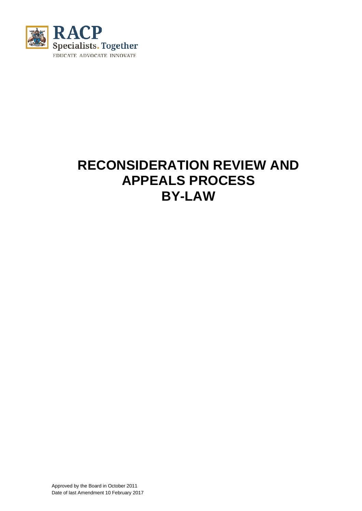

# **RECONSIDERATION REVIEW AND APPEALS PROCESS BY-LAW**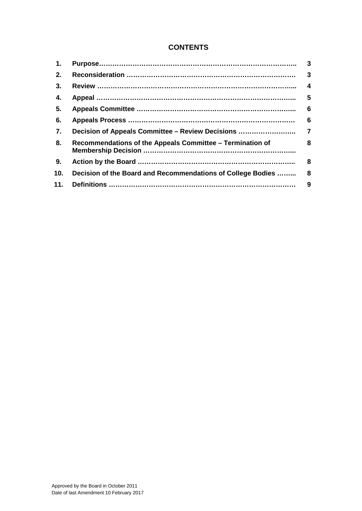# **CONTENTS**

| 1.             |                                                             | $\mathbf{3}$   |
|----------------|-------------------------------------------------------------|----------------|
| 2.             |                                                             | 3              |
| 3.             |                                                             | $\overline{4}$ |
| 4.             |                                                             | 5              |
| 5.             |                                                             | 6              |
| 6.             |                                                             | 6              |
| 7.             |                                                             |                |
| 8.             | Recommendations of the Appeals Committee – Termination of   | 8              |
| 9 <sub>1</sub> |                                                             | 8              |
| 10.            | Decision of the Board and Recommendations of College Bodies | 8              |
| 11.            |                                                             | 9              |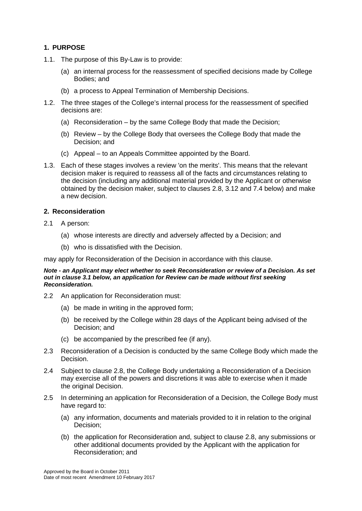# **1. PURPOSE**

- 1.1. The purpose of this By-Law is to provide:
	- (a) an internal process for the reassessment of specified decisions made by College Bodies; and
	- (b) a process to Appeal Termination of Membership Decisions.
- 1.2. The three stages of the College's internal process for the reassessment of specified decisions are:
	- (a) Reconsideration by the same College Body that made the Decision;
	- (b) Review by the College Body that oversees the College Body that made the Decision; and
	- (c) Appeal to an Appeals Committee appointed by the Board.
- 1.3. Each of these stages involves a review 'on the merits'. This means that the relevant decision maker is required to reassess all of the facts and circumstances relating to the decision (including any additional material provided by the Applicant or otherwise obtained by the decision maker, subject to clauses [2.8,](#page-3-0) [3.12](#page-4-0) and [7.4](#page-6-0) below) and make a new decision.

# **2. Reconsideration**

- 2.1 A person:
	- (a) whose interests are directly and adversely affected by a Decision; and
	- (b) who is dissatisfied with the Decision.

may apply for Reconsideration of the Decision in accordance with this clause.

#### *Note - an Applicant may elect whether to seek Reconsideration or review of a Decision. As set out in clause 3.1 below, an application for Review can be made without first seeking Reconsideration.*

- 2.2 An application for Reconsideration must:
	- (a) be made in writing in the approved form;
	- (b) be received by the College within 28 days of the Applicant being advised of the Decision; and
	- (c) be accompanied by the prescribed fee (if any).
- 2.3 Reconsideration of a Decision is conducted by the same College Body which made the Decision.
- 2.4 Subject to clause 2.8, the College Body undertaking a Reconsideration of a Decision may exercise all of the powers and discretions it was able to exercise when it made the original Decision.
- <span id="page-2-0"></span>2.5 In determining an application for Reconsideration of a Decision, the College Body must have regard to:
	- (a) any information, documents and materials provided to it in relation to the original Decision;
	- (b) the application for Reconsideration and, subject to clause 2.8, any submissions or other additional documents provided by the Applicant with the application for Reconsideration; and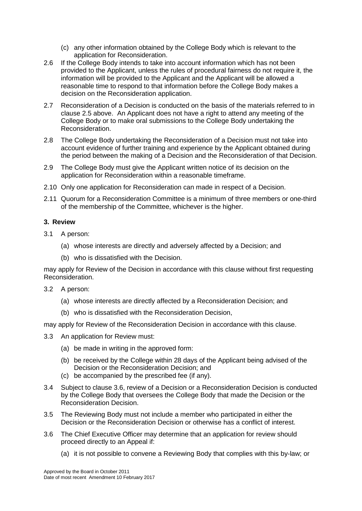- (c) any other information obtained by the College Body which is relevant to the application for Reconsideration.
- 2.6 If the College Body intends to take into account information which has not been provided to the Applicant, unless the rules of procedural fairness do not require it, the information will be provided to the Applicant and the Applicant will be allowed a reasonable time to respond to that information before the College Body makes a decision on the Reconsideration application.
- 2.7 Reconsideration of a Decision is conducted on the basis of the materials referred to in clause [2.5 above.](#page-2-0) An Applicant does not have a right to attend any meeting of the College Body or to make oral submissions to the College Body undertaking the Reconsideration.
- <span id="page-3-0"></span>2.8 The College Body undertaking the Reconsideration of a Decision must not take into account evidence of further training and experience by the Applicant obtained during the period between the making of a Decision and the Reconsideration of that Decision.
- 2.9 The College Body must give the Applicant written notice of its decision on the application for Reconsideration within a reasonable timeframe.
- 2.10 Only one application for Reconsideration can made in respect of a Decision.
- 2.11 Quorum for a Reconsideration Committee is a minimum of three members or one-third of the membership of the Committee, whichever is the higher.

# **3. Review**

- 3.1 A person:
	- (a) whose interests are directly and adversely affected by a Decision; and
	- (b) who is dissatisfied with the Decision.

may apply for Review of the Decision in accordance with this clause without first requesting Reconsideration.

- 3.2 A person:
	- (a) whose interests are directly affected by a Reconsideration Decision; and
	- (b) who is dissatisfied with the Reconsideration Decision,

may apply for Review of the Reconsideration Decision in accordance with this clause.

- 3.3 An application for Review must:
	- (a) be made in writing in the approved form:
	- (b) be received by the College within 28 days of the Applicant being advised of the Decision or the Reconsideration Decision; and
	- (c) be accompanied by the prescribed fee (if any).
- 3.4 Subject to clause [3.6,](#page-3-1) review of a Decision or a Reconsideration Decision is conducted by the College Body that oversees the College Body that made the Decision or the Reconsideration Decision.
- 3.5 The Reviewing Body must not include a member who participated in either the Decision or the Reconsideration Decision or otherwise has a conflict of interest.
- <span id="page-3-1"></span>3.6 The Chief Executive Officer may determine that an application for review should proceed directly to an Appeal if:
	- (a) it is not possible to convene a Reviewing Body that complies with this by-law; or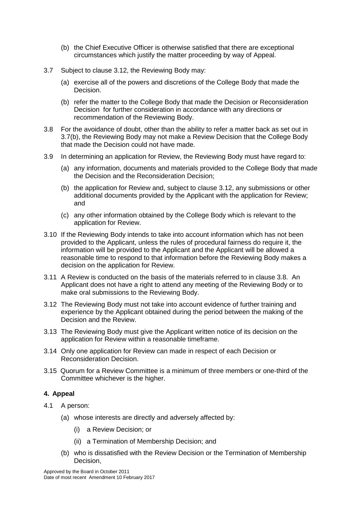- (b) the Chief Executive Officer is otherwise satisfied that there are exceptional circumstances which justify the matter proceeding by way of Appeal.
- 3.7 Subject to clause [3.12,](#page-4-0) the Reviewing Body may:
	- (a) exercise all of the powers and discretions of the College Body that made the Decision.
	- (b) refer the matter to the College Body that made the Decision or Reconsideration Decision for further consideration in accordance with any directions or recommendation of the Reviewing Body.
- <span id="page-4-1"></span>3.8 For the avoidance of doubt, other than the ability to refer a matter back as set out in 3.7(b), the Reviewing Body may not make a Review Decision that the College Body that made the Decision could not have made.
- 3.9 In determining an application for Review, the Reviewing Body must have regard to:
	- (a) any information, documents and materials provided to the College Body that made the Decision and the Reconsideration Decision;
	- (b) the application for Review and, subject to clause [3.12,](#page-4-0) any submissions or other additional documents provided by the Applicant with the application for Review; and
	- (c) any other information obtained by the College Body which is relevant to the application for Review.
- 3.10 If the Reviewing Body intends to take into account information which has not been provided to the Applicant, unless the rules of procedural fairness do require it, the information will be provided to the Applicant and the Applicant will be allowed a reasonable time to respond to that information before the Reviewing Body makes a decision on the application for Review.
- 3.11 A Review is conducted on the basis of the materials referred to in clause [3.8.](#page-4-1) An Applicant does not have a right to attend any meeting of the Reviewing Body or to make oral submissions to the Reviewing Body.
- <span id="page-4-0"></span>3.12 The Reviewing Body must not take into account evidence of further training and experience by the Applicant obtained during the period between the making of the Decision and the Review.
- 3.13 The Reviewing Body must give the Applicant written notice of its decision on the application for Review within a reasonable timeframe.
- 3.14 Only one application for Review can made in respect of each Decision or Reconsideration Decision.
- 3.15 Quorum for a Review Committee is a minimum of three members or one-third of the Committee whichever is the higher.

# **4. Appeal**

- 4.1 A person:
	- (a) whose interests are directly and adversely affected by:
		- (i) a Review Decision; or
		- (ii) a Termination of Membership Decision; and
	- (b) who is dissatisfied with the Review Decision or the Termination of Membership Decision,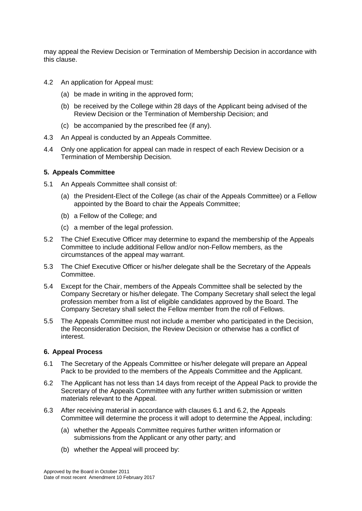may appeal the Review Decision or Termination of Membership Decision in accordance with this clause.

- 4.2 An application for Appeal must:
	- (a) be made in writing in the approved form;
	- (b) be received by the College within 28 days of the Applicant being advised of the Review Decision or the Termination of Membership Decision; and
	- (c) be accompanied by the prescribed fee (if any).
- 4.3 An Appeal is conducted by an Appeals Committee.
- 4.4 Only one application for appeal can made in respect of each Review Decision or a Termination of Membership Decision.

#### **5. Appeals Committee**

- 5.1 An Appeals Committee shall consist of:
	- (a) the President-Elect of the College (as chair of the Appeals Committee) or a Fellow appointed by the Board to chair the Appeals Committee;
	- (b) a Fellow of the College; and
	- (c) a member of the legal profession.
- 5.2 The Chief Executive Officer may determine to expand the membership of the Appeals Committee to include additional Fellow and/or non-Fellow members, as the circumstances of the appeal may warrant.
- 5.3 The Chief Executive Officer or his/her delegate shall be the Secretary of the Appeals Committee.
- 5.4 Except for the Chair, members of the Appeals Committee shall be selected by the Company Secretary or his/her delegate. The Company Secretary shall select the legal profession member from a list of eligible candidates approved by the Board. The Company Secretary shall select the Fellow member from the roll of Fellows.
- 5.5 The Appeals Committee must not include a member who participated in the Decision, the Reconsideration Decision, the Review Decision or otherwise has a conflict of interest.

#### **6. Appeal Process**

- 6.1 The Secretary of the Appeals Committee or his/her delegate will prepare an Appeal Pack to be provided to the members of the Appeals Committee and the Applicant.
- 6.2 The Applicant has not less than 14 days from receipt of the Appeal Pack to provide the Secretary of the Appeals Committee with any further written submission or written materials relevant to the Appeal.
- 6.3 After receiving material in accordance with clauses 6.1 and 6.2, the Appeals Committee will determine the process it will adopt to determine the Appeal, including:
	- (a) whether the Appeals Committee requires further written information or submissions from the Applicant or any other party; and
	- (b) whether the Appeal will proceed by: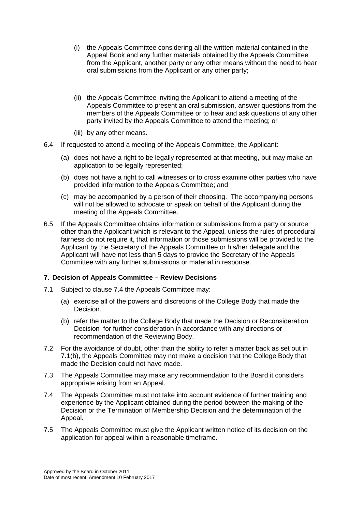- (i) the Appeals Committee considering all the written material contained in the Appeal Book and any further materials obtained by the Appeals Committee from the Applicant, another party or any other means without the need to hear oral submissions from the Applicant or any other party;
- (ii) the Appeals Committee inviting the Applicant to attend a meeting of the Appeals Committee to present an oral submission, answer questions from the members of the Appeals Committee or to hear and ask questions of any other party invited by the Appeals Committee to attend the meeting; or
- (iii) by any other means.
- 6.4 If requested to attend a meeting of the Appeals Committee, the Applicant:
	- (a) does not have a right to be legally represented at that meeting, but may make an application to be legally represented;
	- (b) does not have a right to call witnesses or to cross examine other parties who have provided information to the Appeals Committee; and
	- (c) may be accompanied by a person of their choosing. The accompanying persons will not be allowed to advocate or speak on behalf of the Applicant during the meeting of the Appeals Committee.
- 6.5 If the Appeals Committee obtains information or submissions from a party or source other than the Applicant which is relevant to the Appeal, unless the rules of procedural fairness do not require it, that information or those submissions will be provided to the Applicant by the Secretary of the Appeals Committee or his/her delegate and the Applicant will have not less than 5 days to provide the Secretary of the Appeals Committee with any further submissions or material in response.

# **7. Decision of Appeals Committee – Review Decisions**

- 7.1 Subject to clause 7.4 the Appeals Committee may:
	- (a) exercise all of the powers and discretions of the College Body that made the Decision.
	- (b) refer the matter to the College Body that made the Decision or Reconsideration Decision for further consideration in accordance with any directions or recommendation of the Reviewing Body.
- 7.2 For the avoidance of doubt, other than the ability to refer a matter back as set out in 7.1(b), the Appeals Committee may not make a decision that the College Body that made the Decision could not have made.
- 7.3 The Appeals Committee may make any recommendation to the Board it considers appropriate arising from an Appeal.
- <span id="page-6-0"></span>7.4 The Appeals Committee must not take into account evidence of further training and experience by the Applicant obtained during the period between the making of the Decision or the Termination of Membership Decision and the determination of the Appeal.
- 7.5 The Appeals Committee must give the Applicant written notice of its decision on the application for appeal within a reasonable timeframe.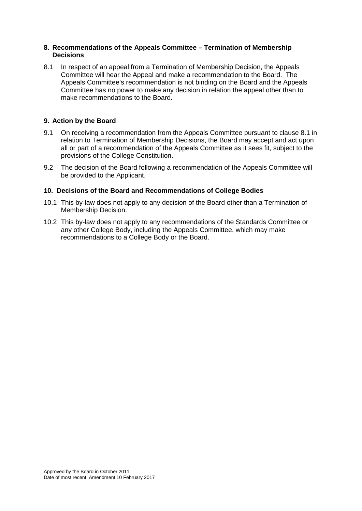# **8. Recommendations of the Appeals Committee – Termination of Membership Decisions**

8.1 In respect of an appeal from a Termination of Membership Decision, the Appeals Committee will hear the Appeal and make a recommendation to the Board. The Appeals Committee's recommendation is not binding on the Board and the Appeals Committee has no power to make any decision in relation the appeal other than to make recommendations to the Board.

# **9. Action by the Board**

- 9.1 On receiving a recommendation from the Appeals Committee pursuant to clause 8.1 in relation to Termination of Membership Decisions, the Board may accept and act upon all or part of a recommendation of the Appeals Committee as it sees fit, subject to the provisions of the College Constitution.
- 9.2 The decision of the Board following a recommendation of the Appeals Committee will be provided to the Applicant.

# **10. Decisions of the Board and Recommendations of College Bodies**

- 10.1 This by-law does not apply to any decision of the Board other than a Termination of Membership Decision.
- 10.2 This by-law does not apply to any recommendations of the Standards Committee or any other College Body, including the Appeals Committee, which may make recommendations to a College Body or the Board.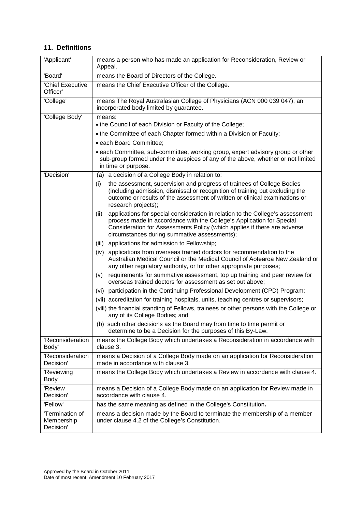# **11. Definitions**

| 'Applicant'                                | means a person who has made an application for Reconsideration, Review or<br>Appeal.                                                                                                                                                                                                        |  |  |  |  |
|--------------------------------------------|---------------------------------------------------------------------------------------------------------------------------------------------------------------------------------------------------------------------------------------------------------------------------------------------|--|--|--|--|
| 'Board'                                    | means the Board of Directors of the College.                                                                                                                                                                                                                                                |  |  |  |  |
| 'Chief Executive<br>Officer'               | means the Chief Executive Officer of the College.                                                                                                                                                                                                                                           |  |  |  |  |
| 'College'                                  | means The Royal Australasian College of Physicians (ACN 000 039 047), an<br>incorporated body limited by guarantee.                                                                                                                                                                         |  |  |  |  |
| 'College Body'                             | means:<br>• the Council of each Division or Faculty of the College;                                                                                                                                                                                                                         |  |  |  |  |
|                                            | • the Committee of each Chapter formed within a Division or Faculty;                                                                                                                                                                                                                        |  |  |  |  |
|                                            | · each Board Committee:                                                                                                                                                                                                                                                                     |  |  |  |  |
|                                            | • each Committee, sub-committee, working group, expert advisory group or other<br>sub-group formed under the auspices of any of the above, whether or not limited<br>in time or purpose.                                                                                                    |  |  |  |  |
| 'Decision'                                 | (a) a decision of a College Body in relation to:                                                                                                                                                                                                                                            |  |  |  |  |
|                                            | the assessment, supervision and progress of trainees of College Bodies<br>(i)<br>(including admission, dismissal or recognition of training but excluding the<br>outcome or results of the assessment of written or clinical examinations or<br>research projects);                         |  |  |  |  |
|                                            | applications for special consideration in relation to the College's assessment<br>(ii)<br>process made in accordance with the College's Application for Special<br>Consideration for Assessments Policy (which applies if there are adverse<br>circumstances during summative assessments); |  |  |  |  |
|                                            | (iii) applications for admission to Fellowship;                                                                                                                                                                                                                                             |  |  |  |  |
|                                            | applications from overseas trained doctors for recommendation to the<br>(iv)<br>Australian Medical Council or the Medical Council of Aotearoa New Zealand or<br>any other regulatory authority, or for other appropriate purposes;                                                          |  |  |  |  |
|                                            | requirements for summative assessment, top up training and peer review for<br>(V)<br>overseas trained doctors for assessment as set out above;                                                                                                                                              |  |  |  |  |
|                                            | (vi) participation in the Continuing Professional Development (CPD) Program;                                                                                                                                                                                                                |  |  |  |  |
|                                            | (vii) accreditation for training hospitals, units, teaching centres or supervisors;                                                                                                                                                                                                         |  |  |  |  |
|                                            | (viii) the financial standing of Fellows, trainees or other persons with the College or<br>any of its College Bodies; and                                                                                                                                                                   |  |  |  |  |
|                                            | (b) such other decisions as the Board may from time to time permit or<br>determine to be a Decision for the purposes of this By-Law.                                                                                                                                                        |  |  |  |  |
| 'Reconsideration<br>Body'                  | means the College Body which undertakes a Reconsideration in accordance with<br>clause 3.                                                                                                                                                                                                   |  |  |  |  |
| 'Reconsideration<br>Decision'              | means a Decision of a College Body made on an application for Reconsideration<br>made in accordance with clause 3.                                                                                                                                                                          |  |  |  |  |
| 'Reviewing<br>Body'                        | means the College Body which undertakes a Review in accordance with clause 4.                                                                                                                                                                                                               |  |  |  |  |
| 'Review<br>Decision'                       | means a Decision of a College Body made on an application for Review made in<br>accordance with clause 4.                                                                                                                                                                                   |  |  |  |  |
| 'Fellow'                                   | has the same meaning as defined in the College's Constitution.                                                                                                                                                                                                                              |  |  |  |  |
| 'Termination of<br>Membership<br>Decision' | means a decision made by the Board to terminate the membership of a member<br>under clause 4.2 of the College's Constitution.                                                                                                                                                               |  |  |  |  |